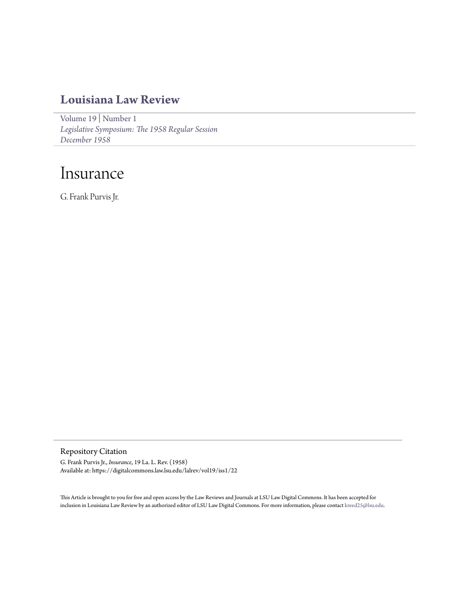## **[Louisiana Law Review](https://digitalcommons.law.lsu.edu/lalrev)**

[Volume 19](https://digitalcommons.law.lsu.edu/lalrev/vol19) | [Number 1](https://digitalcommons.law.lsu.edu/lalrev/vol19/iss1) *[Legislative Symposium: The 1958 Regular Session](https://digitalcommons.law.lsu.edu/lalrev/vol19/iss1) [December 1958](https://digitalcommons.law.lsu.edu/lalrev/vol19/iss1)*

# Insurance

G. Frank Purvis Jr.

Repository Citation

G. Frank Purvis Jr., *Insurance*, 19 La. L. Rev. (1958) Available at: https://digitalcommons.law.lsu.edu/lalrev/vol19/iss1/22

This Article is brought to you for free and open access by the Law Reviews and Journals at LSU Law Digital Commons. It has been accepted for inclusion in Louisiana Law Review by an authorized editor of LSU Law Digital Commons. For more information, please contact [kreed25@lsu.edu](mailto:kreed25@lsu.edu).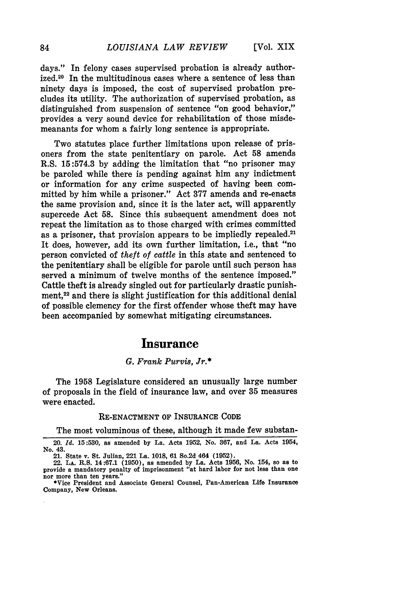days." In felony cases supervised probation is already authorized.<sup>20</sup> In the multitudinous cases where a sentence of less than ninety days is imposed, the cost of supervised probation precludes its utility. The authorization of supervised probation, as distinguished from suspension of sentence "on good behavior," provides a very sound device for rehabilitation of those misdemeanants for whom a fairly long sentence is appropriate.

Two statutes place further limitations upon release of prisoners from the state penitentiary on parole. Act 58 amends R.S. 15:574.3 by adding the limitation that "no prisoner may be paroled while there is pending against him any indictment or information for any crime suspected of having been committed by him while a prisoner." Act 377 amends and re-enacts the same provision and, since it is the later act, will apparently supercede Act 58. Since this subsequent amendment does not repeat the limitation as to those charged with crimes committed as a prisoner, that provision appears to be impliedly repealed.<sup>21</sup> It does, however, add its own further limitation, i.e., that "no person convicted of *theft of cattle* in this state and sentenced to the penitentiary shall be eligible for parole until such person has served a minimum of twelve months of the sentence imposed." Cattle theft is already singled out for particularly drastic punishment,<sup>22</sup> and there is slight justification for this additional denial of possible clemency for the first offender whose theft may have been accompanied by somewhat mitigating circumstances.

## **Insurance**

#### *G. Frank Purvis, Jr.\**

The 1958 Legislature considered an unusually large number of proposals in the field of insurance law, and over 35 measures were enacted.

#### **RE-ENACTMENT** OF **INSURANCE** CODE

The most voluminous of these, although it made few substan-

<sup>20.</sup> *Id.* **15:530,** as amended **by** La. Acts **1952,** No. **367,** and La. Acts 1954, No. 43.

<sup>21.</sup> State v. St. Julian, 221 La. **1018, 61** So.2d 464 **(1952).**

<sup>22.</sup> **LA.** R.S. 14:67.1 **(1950),** as amended **by** La. Acts **1956,** No. 154, so as to provide a mandatory penalty of imprisonment "at hard labor for not less than one nor more than ten years."

<sup>\*</sup>Vice President and Associate General Counsel, Pan-American Life Insurance Company, New Orleans.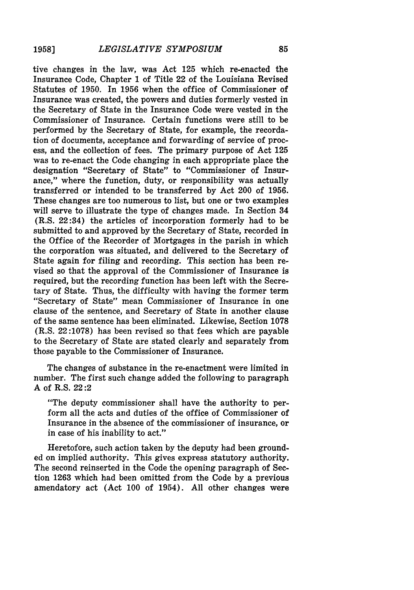tive changes in the law, was Act **125** which re-enacted the Insurance Code, Chapter 1 of Title 22 of the Louisiana Revised Statutes of **1950.** In **1956** when the office of Commissioner of Insurance was created, the powers and duties formerly vested in the Secretary of State in the Insurance Code were vested in the Commissioner of Insurance. Certain functions were still to be performed **by** the Secretary of State, for example, the recordation of documents, acceptance and forwarding of service of process, and the collection of fees. The primary purpose of Act **125** was to re-enact the Code changing in each appropriate place the designation "Secretary of State" to "Commissioner of Insurance," where the function, duty, or responsibility was actually transferred or intended to be transferred **by** Act 200 of **1956.** These changes are too numerous to list, but one or two examples will serve to illustrate the type of changes made. In Section 34 (R.S. 22:34) the articles of incorporation formerly had to be submitted to and approved **by** the Secretary of State, recorded in the Office of the Recorder of Mortgages in the parish in which the corporation was situated, and delivered to the Secretary of State again for filing and recording. This section has been revised so that the approval of the Commissioner of Insurance is required, but the recording function has been left with the Secretary of State. Thus, the difficulty with having the former term "Secretary of State" mean Commissioner of Insurance in one clause of the sentence, and Secretary of State in another clause of the same sentence has been eliminated. Likewise, Section **1078** (R.S. **22:1078)** has been revised so that fees which are payable to the Secretary of State are stated clearly and separately from those payable to the Commissioner of Insurance.

The changes of substance in the re-enactment were limited in number. The first such change added the following to paragraph **A** of R.S. 22:2

"The deputy commissioner shall have the authority to perform all the acts and duties of the office of Commissioner of Insurance in the absence of the commissioner of insurance, or in case of his inability to act."

Heretofore, such action taken **by** the deputy had been grounded on implied authority. This gives express statutory authority. The second reinserted in the Code the opening paragraph of Section **1263** which had been omitted from the Code **by** a previous amendatory act (Act **100** of 1954). **All** other changes were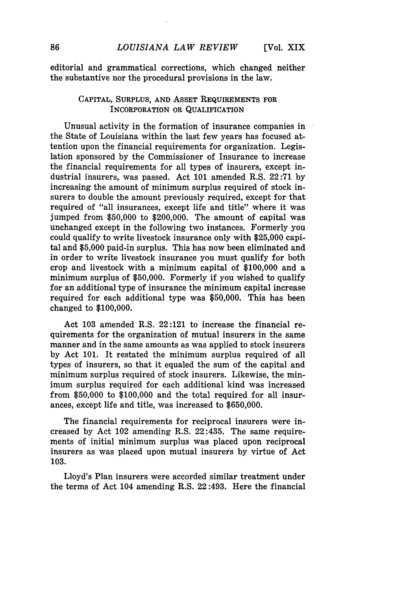editorial and grammatical corrections, which changed neither the substantive nor the procedural provisions in the law.

## CAPITAL, SURPLUS, AND ASSET REQUIREMENTS FOR INCORPORATION OR QUALIFICATION

Unusual activity in the formation of insurance companies in the State of Louisiana within the last few years has focused attention upon the financial requirements for organization. Legislation sponsored by the Commissioner of Insurance to increase the financial requirements for all types of insurers, except industrial insurers, was passed. Act 101 amended R.S. 22:71 by increasing the amount of minimum surplus required of stock insurers to double the amount previously required, except for that required of "all insurances, except life and title" where it was jumped from \$50,000 to \$200,000. The amount of capital was unchanged except in the following two instances. Formerly you could qualify to write livestock insurance only with \$25,000 capital and \$5,000 paid-in surplus. This has now been eliminated and in order to write livestock insurance you must qualify for both crop and livestock with a minimum capital of \$100,000 and a minimum surplus of \$50,000. Formerly if you wished to qualify for an additional type of insurance the minimum capital increase required for each additional type was \$50,000. This has been changed to \$100,000.

Act 103 amended R.S. 22:121 to increase the financial requirements for the organization of mutual insurers in the same manner and in the same amounts as was applied to stock insurers by Act 101. It restated the minimum surplus required of all types of insurers, so that it equaled the sum of the capital and minimum surplus required of stock insurers. Likewise, the minimum surplus required for each additional kind was increased from \$50,000 to \$100,000 and the total required for all insurances, except life and title, was increased to \$650,000.

The financial requirements for reciprocal insurers were increased by Act 102 amending R.S. 22:435. The same requirements of initial minimum surplus was placed upon reciprocal insurers as was placed upon mutual insurers by virtue of Act 103.

Lloyd's Plan insurers were accorded similar treatment under the terms of Act 104 amending R.S. 22:493. Here the financial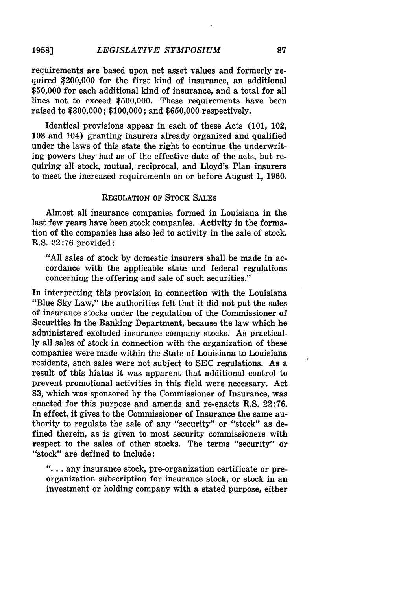#### *LEGISLATIVE SYMPOSIUM* **19581**

requirements are based upon net asset values and formerly required \$200,000 for the first kind of insurance, an additional \$50,000 for each additional kind of insurance, and a total for all lines not to exceed \$500,000. These requirements have been raised to \$300,000; \$100,000; and \$650,000 respectively.

Identical provisions appear in each of these Acts (101, 102, 103 and 104) granting insurers already organized and qualified under the laws of this state the right to continue the underwriting powers they had as of the effective date of the acts, but requiring all stock, mutual, reciprocal, and Lloyd's Plan insurers to meet the increased requirements on or before August 1, 1960.

## REGULATION OF STOCK **SALES**

Almost all insurance companies formed in Louisiana in the last few years have been stock companies. Activity in the formation of the companies has also led to activity in the sale of stock. R.S. 22:76 provided:

"All sales of stock **by** domestic insurers shall be made in accordance with the applicable state and federal regulations concerning the offering and sale of such securities."

In interpreting this provision in connection with the Louisiana "Blue **Sky** Law," the authorities felt that it did not put the sales of insurance stocks under the regulation of the Commissioner of Securities in the Banking Department, because the law which he administered excluded insurance company stocks. As practical**ly** all sales of stock in connection with the organization of these companies were made within the State of Louisiana to Louisiana residents, such sales were not subject to **SEC** regulations. As a result of this hiatus it was apparent that additional control to prevent promotional activities in this field were necessary. Act **83,** which was sponsored **by** the Commissioner of Insurance, was enacted for this purpose and amends and re-enacts R.S. **22:76.** In effect, it gives to the Commissioner of Insurance the same authority to regulate the sale of any "security" or "stock" as defined therein, as is given to most security commissioners with respect to the sales of other stocks. The terms "security" or "stock" are defined to include:

**"....** any insurance stock, pre-organization certificate or preorganization subscription for insurance stock, or stock in an investment or holding company with a stated purpose, either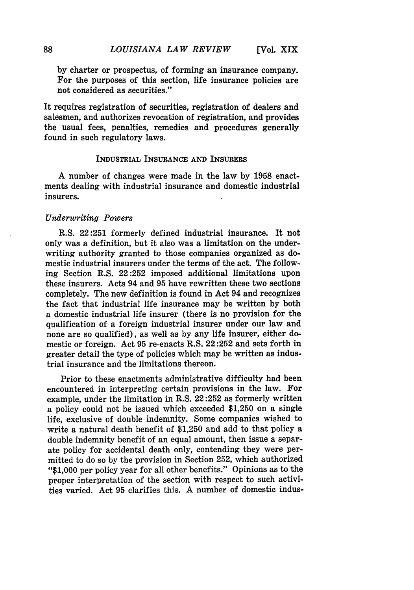by charter or prospectus, of forming an insurance company. For the purposes of this section, life insurance policies are not considered as securities."

It requires registration of securities, registration of dealers and salesmen, and authorizes revocation of registration, and provides the usual fees, penalties, remedies and procedures generally found in such regulatory laws.

#### INDUSTRIAL **INSURANCE AND** INSURERS

A number of changes were made in the law **by 1958** enactments dealing with industrial insurance and domestic industrial insurers.

#### *Underwriting Powers*

R.S. 22:251 formerly defined industrial insurance. It not only was a definition, but it also was a limitation on the underwriting authority granted to those companies organized as domestic industrial insurers under the terms of the act. The following Section R.S. 22:252 imposed additional limitations upon these insurers. Acts 94 and 95 have rewritten these two sections completely. The new definition is found in Act 94 and recognizes the fact that industrial life insurance may be written by both a domestic industrial life insurer (there is no provision for the qualification of a foreign industrial insurer under our law and none are so qualified), as well as by any life insurer, either domestic or foreign. Act 95 re-enacts R.S. 22:252 and sets forth in greater detail the type of policies which may be written as industrial insurance and the limitations thereon.

Prior to these enactments administrative difficulty had been encountered in interpreting certain provisions in the law. For example, under the limitation in R.S. 22:252 as formerly written a policy could not be issued which exceeded \$1,250 on a single life, exclusive of double indemnity. Some companies wished to write a natural death benefit of \$1,250 and add to that policy a double indemnity benefit of an equal amount, then issue a separate policy for accidental death only, contending they were permitted to do so by the provision in Section 252, which authorized "\$1,000 per policy year for all other benefits." Opinions as to the proper interpretation of the section with respect to such activities varied. Act 95 clarifies this. A number of domestic indus-

88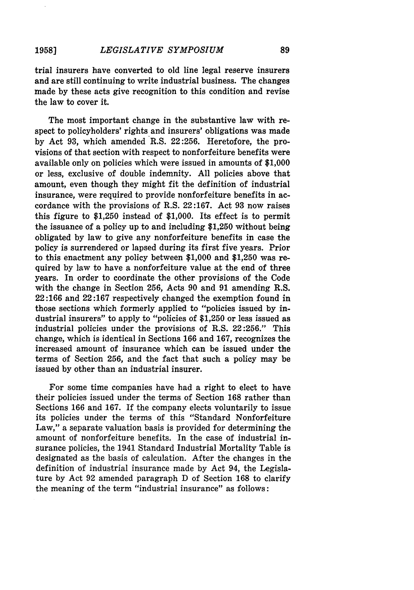#### *LEGISLATIVE SYMPOSIUM* **1958]**

trial insurers have converted to old line legal reserve insurers and are still continuing to write industrial business. The changes made **by** these acts give recognition to this condition and revise the law to cover it.

The most important change in the substantive law with respect to policyholders' rights and insurers' obligations was made **by** Act **93,** which amended R.S. **22:256.** Heretofore, the provisions of that section with respect to nonforfeiture benefits were available only on policies which were issued in amounts of **\$1,000** or less, exclusive of double indemnity. **All** policies above that amount, even though they might fit the definition of industrial insurance, were required to provide nonforfeiture benefits in accordance with the provisions of R.S. **22:167.** Act **93** now raises this figure to **\$1,250** instead of **\$1,000.** Its effect is to permit the issuance of a policy up to and including **\$1,250** without being obligated **by** law to give any nonforfeiture benefits in case the policy is surrendered or lapsed during its first five years. Prior to this enactment any policy between **\$1,000** and **\$1,250** was required **by** law to have a nonforfeiture value at the end of three years. In order to coordinate the other provisions of the Code with the change in Section 256, Acts 90 and **91** amending R.S. **22:166** and **22:167** respectively changed the exemption found in those sections which formerly applied to "policies issued **by** industrial insurers" to apply to "policies of **\$1,250** or less issued as industrial policies under the provisions of R.S. **22:256."** This change, which is identical in Sections **166** and **167,** recognizes the increased amount of insurance which can be issued under the terms of Section **256,** and the fact that such a policy may be issued **by** other than an industrial insurer.

For some time companies have had a right to elect to have their policies issued under the terms of Section **168** rather than Sections **166** and **167. If** the company elects voluntarily to issue its policies under the terms of this "Standard Nonforfeiture Law," a separate valuation basis is provided for determining the amount of nonforfeiture benefits. In the case of industrial insurance policies, the 1941 Standard Industrial Mortality Table is designated as the basis of calculation. After the changes in the definition of industrial insurance made **by** Act 94, the Legislature **by** Act **92** amended paragraph D of Section **168** to clarify the meaning of the term "industrial insurance" as follows: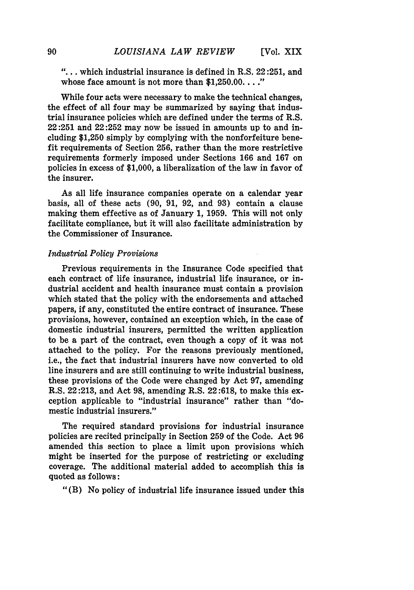**"....** which industrial insurance is defined in R.S. 22:251, and whose face amount is not more than **\$1,250.00...."**

While four acts were necessary to make the technical changes, the effect of all four may be summarized **by** saying that industrial insurance policies which are defined under the terms of R.S. **22:251** and 22:252 may now be issued in amounts up to and including **\$1,250** simply **by** complying with the nonforfeiture benefit requirements of Section **256,** rather than the more restrictive requirements formerly imposed under Sections **166** and **167** on policies in excess of **\$1,000,** a liberalization of the law in favor of the insurer.

As all life insurance companies operate on a calendar year basis, all of these acts (90, **91,** 92, and **93)** contain a clause making them effective as of January 1, 1959. This will not only facilitate compliance, but it will also facilitate administration by the Commissioner of Insurance.

#### *Industrial Policy Provisions*

Previous requirements in the Insurance Code specified that each contract of life insurance, industrial life insurance, or industrial accident and health insurance must contain a provision which stated that the policy with the endorsements and attached papers, if any, constituted the entire contract of insurance. These provisions, however, contained an exception which, in the case of domestic industrial insurers, permitted the written application to be a part of the contract, even though a copy of it was not attached to the policy. For the reasons previously mentioned, i.e., the fact that industrial insurers have now converted to old line insurers and are still continuing to write industrial business, these provisions of the Code were changed by Act **97,** amending R.S. 22:213, and Act **98,** amending R.S. 22:618, to make this exception applicable to "industrial insurance" rather than "domestic industrial insurers."

The required standard provisions for industrial insurance policies are recited principally in Section 259 of the Code. Act 96 amended this section to place a limit upon provisions which might be inserted for the purpose of restricting or excluding coverage. The additional material added to accomplish this is quoted as follows:

"(B) No policy of industrial life insurance issued under this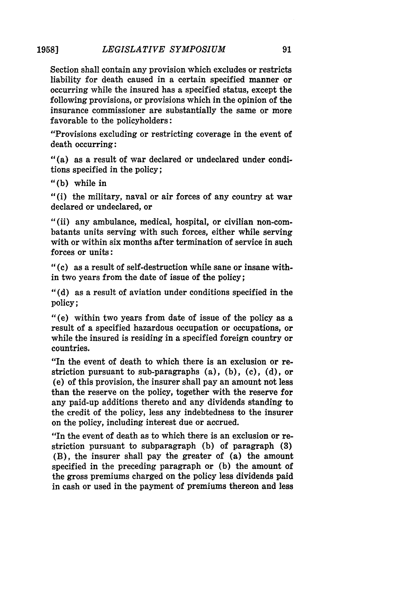#### *LEGISLATIVE SYMPOSIUM* **19581**

Section shall contain any provision which excludes or restricts liability for death caused in a certain specified manner or occurring while the insured has a specified status, except the following provisions, or provisions which in the opinion of the insurance commissioner are substantially the same or more favorable to the policyholders:

"Provisions excluding or restricting coverage in the event of death occurring:

"(a) as a result of war declared or undeclared under conditions specified in the policy;

**"(b)** while in

"(i) the military, naval or air forces of any country at war declared or undeclared, or

"(ii) any ambulance, medical, hospital, or civilian non-combatants units serving with such forces, either while serving with or within six months after termination of service in such forces or units:

**("(c)** as a result of self-destruction while sane or insane within two years from the date of issue of the policy;

**"(d)** as a result of aviation under conditions specified in the policy;

"(e) within two years from date of issue of the policy as a result of a specified hazardous occupation or occupations, or while the insured is residing in a specified foreign country or countries.

"In the event of death to which there is an exclusion or restriction pursuant to sub-paragraphs (a), **(b), (c), (d),** or (e) of this provision, the insurer shall pay an amount not less than the reserve on the policy, together with the reserve for any paid-up additions thereto and any dividends standing to the credit of the policy, less any indebtedness to the insurer on the policy, including interest due or accrued.

"In the event of death as to which there is an exclusion or restriction pursuant to subparagraph **(b)** of paragraph **(3)** (B), the insurer shall pay the greater of (a) the amount specified in the preceding paragraph or **(b)** the amount of the gross premiums charged on the policy less dividends paid in cash or used in the payment of premiums thereon and less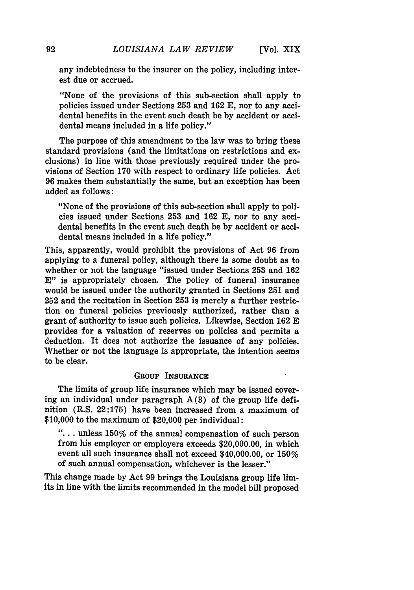any indebtedness to the insurer on the policy, including interest due or accrued.

"None of the provisions of this sub-section shall apply to policies issued under Sections 253 and 162 E, nor to any accidental benefits in the event such death be by accident or accidental means included in a life policy."

The purpose of this amendment to the law was to bring these standard provisions (and the limitations on restrictions and exclusions) in line with those previously required under the provisions of Section 170 with respect to ordinary life policies. Act 96 makes them substantially the same, but an exception has been added as follows:

"None of the provisions of this sub-section shall apply to policies issued under Sections 253 and 162 E, nor to any accidental benefits in the event such death be by accident or accidental means included in a life policy."

This, apparently, would prohibit the provisions of Act 96 from applying to a funeral policy, although there is some doubt as to whether or not the language "issued under Sections 253 and 162 **E"** is appropriately chosen. The policy of funeral insurance would be issued under the authority granted in Sections 251 and 252 and the recitation in Section **253** is merely a further restriction on funeral policies previously authorized, rather than a grant of authority to issue such policies. Likewise, Section **162 E** provides for a valuation of reserves on policies and permits a deduction. It does not authorize the issuance of any policies. Whether or not the language is appropriate, the intention seems to be clear.

#### **GROUP INSURANCE**

The limits of group life insurance which may be issued covering an individual under paragraph **A(3)** of the group life definition (R.S. **22:175)** have been increased from a maximum of **\$10,000** to the maximum of \$20,000 per individual:

**...** unless 150% of the annual compensation of such person from his employer or employers exceeds \$20,000.00, in which event all such insurance shall not exceed \$40,000.00, or 150% of such annual compensation, whichever is the lesser."

This change made **by** Act **99** brings the Louisiana group life limits in line with the limits recommended in the model bill proposed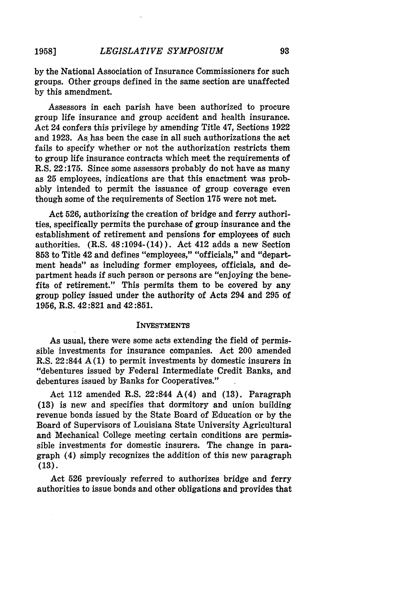#### *LEGISLATIVE SYMPOSIUM* **19581**

by the National Association of Insurance Commissioners for such groups. Other groups defined in the same section are unaffected **by** this amendment.

Assessors in each parish have been authorized to procure group life insurance and group accident and health insurance. Act 24 confers this privilege **by** amending Title 47, Sections **1922** and **1923.** As has been the case in all such authorizations the act fails to specify whether or not the authorization restricts them to group life insurance contracts which meet the requirements of R.S. **22:175.** Since some assessors probably do not have as many as **25** employees, indications are that this enactment was probably intended to permit the issuance of group coverage even though some of the requirements of Section **175** were not met.

Act **526,** authorizing the creation of bridge and ferry authorities, specifically permits the purchase of group insurance and the establishment of retirement and pensions for employees of such authorities. (R.S. 48:1094-(14)). Act 412 adds a new Section **853** to Title 42 and defines "employees," "officials," and "department heads" as including former employees, officials, and department heads if such person or persons are "enjoying the benefits of retirement." This permits them to be covered **by** any group policy issued under the authority of Acts 294 and **295** of **1956,** R.S. 42:821 and 42:851.

#### **INVESTMENTS**

As usual, there were some acts extending the field of permissible investments for insurance companies. Act 200 amended R.S. 22:844 A **(1)** to permit investments **by** domestic insurers in "debentures issued **by** Federal Intermediate Credit Banks, and debentures issued **by** Banks for Cooperatives."

Act 112 amended R.S. 22:844 A(4) and **(13).** Paragraph **(13)** is new and specifies that dormitory and union building revenue bonds issued **by** the State Board of Education or **by** the Board of Supervisors of Louisiana State University Agricultural and Mechanical College meeting certain conditions are permissible investments for domestic insurers. The change in paragraph (4) simply recognizes the addition of this new paragraph (13).

Act 526 previously referred to authorizes bridge and ferry authorities to issue bonds and other obligations and provides that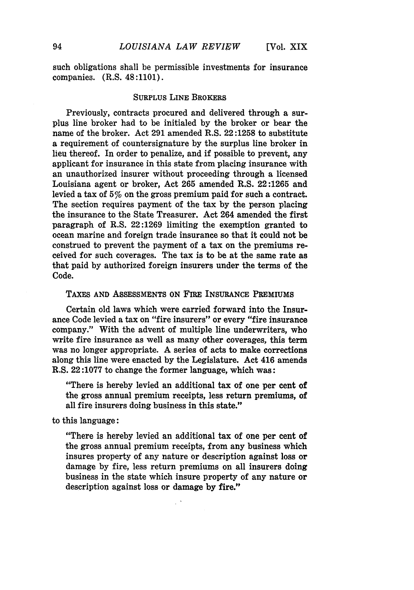such obligations shall be permissible investments for insurance companies. (R.S. 48:1101).

#### **SURPLUS LINE BROKERS**

Previously, contracts procured and delivered through a surplus line broker had to be initialed **by** the broker or bear the name of the broker. Act **291** amended R.S. **22:1258** to substitute a requirement of countersignature **by** the surplus line broker in lieu thereof. In order to penalize, and if possible to prevent, any applicant for insurance in this state from placing insurance with an unauthorized insurer without proceeding through a licensed Louisiana agent or broker, Act **265** amended R.S. **22:1265** and levied a tax of 5% on the gross premium paid for such a contract. The section requires payment of the tax by the person placing the insurance to the State Treasurer. Act 264 amended the first paragraph of R.S. 22:1269 limiting the exemption granted to ocean marine and foreign trade insurance so that it could not be construed to prevent the payment of a tax on the premiums received for such coverages. The tax is to be at the same rate as that paid by authorized foreign insurers under the terms of the Code.

#### **TAXES AND ASSESSMENTS ON FIRE INSURANCE PREMIUMS**

Certain old laws which were carried forward into the Insurance Code levied a tax on "fire insurers" or every "fire insurance company." With the advent of multiple line underwriters, who write fire insurance as well as many other coverages, this term was no longer appropriate. A series **of** acts to make corrections along this line were enacted **by** the Legislature. Act 416 amends R.S. **22:1077** to change the former language, which was:

"There is hereby levied an additional tax of one per cent of the gross annual premium receipts, less return premiums, of all fire insurers doing business in this state."

to this language:

"There is hereby levied an additional tax of one per cent of the gross annual premium receipts, from any business which insures property of any nature or description against loss or damage **by** fire, less return premiums on all insurers doing business in the state which insure property of any nature or description against loss or damage **by** fire."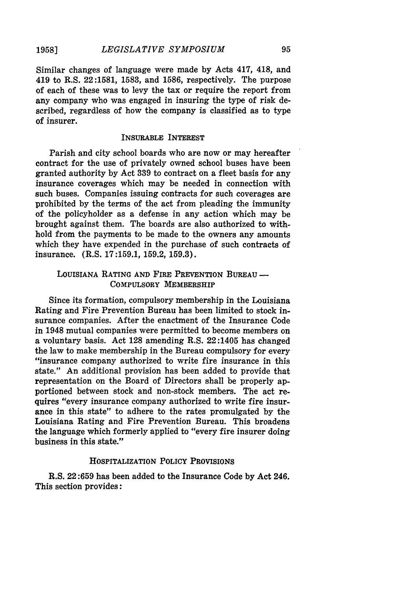Similar changes of language were made by Acts 417, 418, and 419 to R.S. 22:1581, 1583, and 1586, respectively. The purpose of each of these was to levy the tax or require the report from any company who was engaged in insuring the type of risk described, regardless of how the company is classified as to type of insurer.

## INSURABLE INTEREST

Parish and city school boards who are now or may hereafter contract for the use of privately owned school buses have been granted authority by Act 339 to contract on a fleet basis for any insurance coverages which may be needed in connection with such buses. Companies issuing contracts for such coverages are prohibited **by** the terms of the act from pleading the immunity of the policyholder as a defense in any action which may be brought against them. The boards are also authorized to withhold from the payments to be made to the owners any amounts which they have expended in the purchase of such contracts of insurance. (R.S. **17:159.1, 159.2, 159.3).**

## **LOUISIANA** RATING **AND** FIRE PREVENTION **BUREAU -** COMPULSORY MEMBERSHIP

Since its formation, compulsory membership in the Louisiana Rating and Fire Prevention Bureau has been limited to stock insurance companies. After the enactment of the Insurance Code in 1948 mutual companies were permitted to become members on a voluntary basis. Act **128** amending R.S. 22:1405 has changed the law to make membership in the Bureau compulsory for every "insurance company authorized to write fire insurance in this state." An additional provision has been added to provide that representation on the Board of Directors shall be properly apportioned between stock and non-stock members. The act requires "every insurance company authorized to write fire insurance in this state" to adhere to the rates promulgated **by** the Louisiana Rating and Fire Prevention Bureau. This broadens the language which formerly applied to "every fire insurer doing business in this state."

#### **HOSPITALIZATION POLICY PROVISIONS**

R.S. **22:659** has been added to the Insurance Code **by** Act 246. This section provides: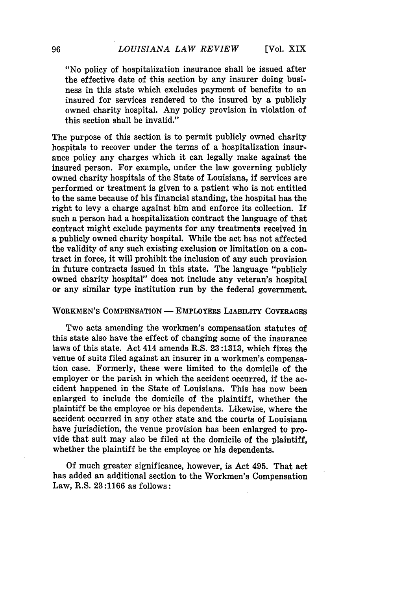"No policy of hospitalization insurance shall be issued after the effective date of this section **by** any insurer doing business in this state which excludes payment of benefits to an insured for services rendered to the insured **by** a publicly owned charity hospital. Any policy provision in violation of this section shall be invalid."

The purpose of this section is to permit publicly owned charity hospitals to recover under the terms of a hospitalization insurance policy any charges which it can legally make against the insured person. For example, under the law governing publicly owned charity hospitals of the State of Louisiana, if services are performed or treatment is given to a patient who is not entitled to the same because of his financial standing, the hospital has the right to levy a charge against him and enforce its collection. If such a person had a hospitalization contract the language of that contract might exclude payments for any treatments received in a publicly owned charity hospital. While the act has not affected the validity of any such existing exclusion or limitation on a contract in force, it will prohibit the inclusion of any such provision in future contracts issued in this state. The language "publicly owned charity hospital" does not include any veteran's hospital or any similar type institution run **by** the federal government.

#### **WORKMEN'S COMPENSATION - EMPLOYERS LIABILITY COVERAGES**

Two acts amending the workmen's compensation statutes of this state also have the effect of changing some of the insurance laws of this state. Act 414 amends R.S. **23:1313,** which fixes the venue of suits filed against an insurer in a workmen's compensation case. Formerly, these were limited to the domicile of the employer or the parish in which the accident occurred, if the accident happened in the State of Louisiana. This has now been enlarged to include the domicile of the plaintiff, whether the plaintiff be the employee or his dependents. Likewise, where the accident occurred in any other state and the courts of Louisiana have jurisdiction, the venue provision has been enlarged to provide that suit may also be filed at the domicile of the plaintiff, whether the plaintiff be the employee or his dependents.

**Of** much greater significance, however, is Act 495. That act has added an additional section to the Workmen's Compensation Law, R.S. **23:1166** as follows: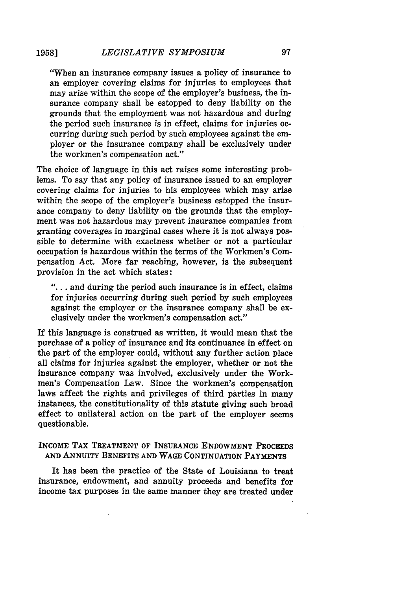"When an insurance company issues a policy of insurance to an employer covering claims for injuries to employees that may arise within the scope of the employer's business, the insurance company shall be estopped to deny liability on the grounds that the employment was not hazardous and during the period such insurance is in effect, claims for injuries occurring during such period **by** such employees against the employer or the insurance company shall be exclusively under the workmen's compensation act."

The choice of language in this act raises some interesting problems. To say that any policy of insurance issued to an employer covering claims for injuries to his employees which may arise within the scope of the employer's business estopped the insurance company to deny liability on the grounds that the employment was not hazardous may prevent insurance companies from granting coverages in marginal cases where it is not always possible to determine with exactness whether or not a particular occupation is hazardous within the terms of the Workmen's Compensation Act. More far reaching, however, is the subsequent provision in the act which states:

**"....** and during the period such insurance is in effect, claims for injuries occurring during such period **by** such employees against the employer or the insurance company shall be exclusively under the workmen's compensation act."

If this language is construed as written, it would mean that the purchase of a policy of insurance and its continuance in effect on the part of the employer could, without any further action place all claims for injuries against the employer, whether or not the insurance company was involved, exclusively under the Workmen's Compensation Law. Since the workmen's compensation laws affect the rights and privileges of third parties in many instances, the constitutionality of this statute giving such broad effect to unilateral action on the part of the employer seems questionable.

**INCOME** TAX **TREATMENT OF INSURANCE ENDOWMENT PROCEEDS AND ANNUITY BENEFITS AND WAGE CONTINUATION PAYMENTS**

It has been the practice of the State of Louisiana to treat insurance, endowment, and annuity proceeds and benefits for income tax purposes in the same manner they are treated under